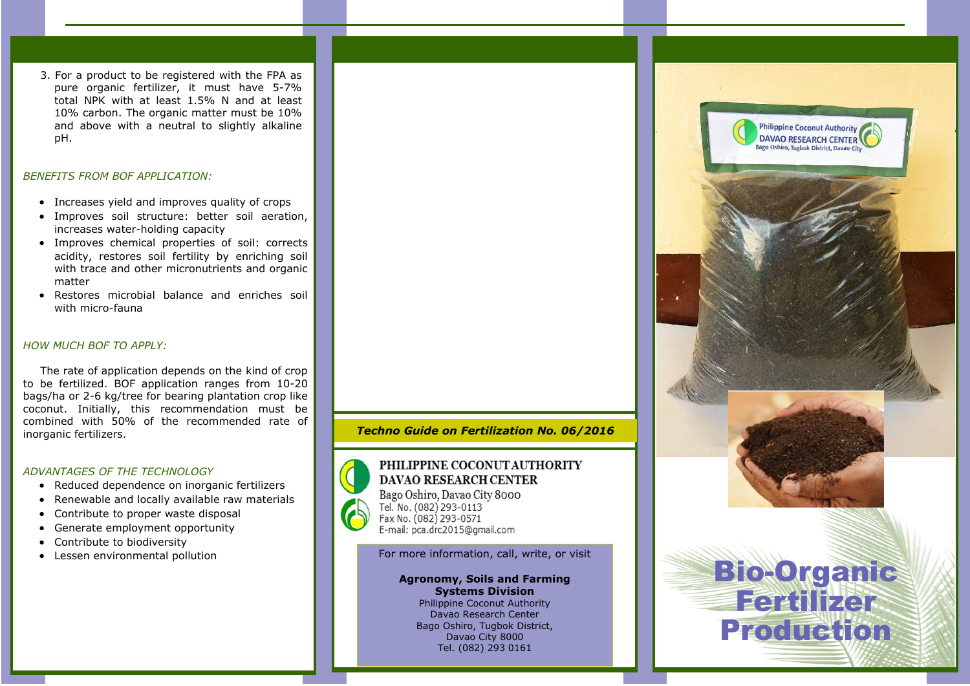3. For a product to be registered with the FPA as pure organic fertilizer, it must have 5-7% total NPK with at least 1.5% N and at least 10% carbon. The organic matter must be 10% and above with a neutral to slightly alkaline pH.

# *BENEFITS FROM BOF APPLICATION:*

- Increases vield and improves quality of crops
- Improves soil structure: better soil aeration, increases water-holding capacity
- Improves chemical properties of soil: corrects acidity, restores soil fertility by enriching soil with trace and other micronutrients and organic matter
- Restores microbial balance and enriches soil with micro-fauna

# *HOW MUCH BOF TO APPLY:*

The rate of application depends on the kind of crop to be fertilized. BOF application ranges from 10-20 bags/ha or 2-6 kg/tree for bearing plantation crop like coconut. Initially, this recommendation must be combined with 50% of the recommended rate of inorganic fertilizers.

# *ADVANTAGES OF THE TECHNOLOGY*

- Reduced dependence on inorganic fertilizers
- Renewable and locally available raw materials
- Contribute to proper waste disposal
- Generate employment opportunity
- Contribute to biodiversity
- Lessen environmental pollution



# PHILIPPINE COCONUT AUTHORITY DAVAO RESEARCH CENTER

Bago Oshiro, Davao City 8000 Tel. No. (082) 293-0113 Fax No. (082) 293-0571 E-mail: pca.drc2015@gmail.com

For more information, call, write, or visit

# Agronomy, Soils and Farming Systems Division

Philippine Coconut Authority Davao Research Center Bago Oshiro, Tugbok District, Davao City 8000 Tel. (082) 293 0161